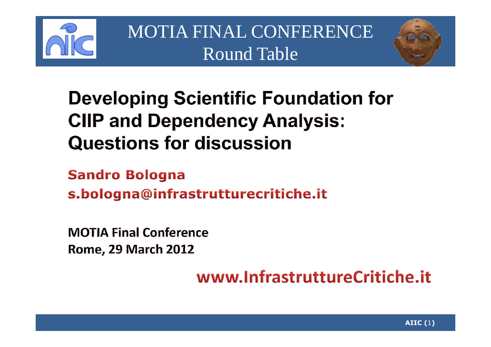



#### **Developing Scientific Foundation for CIIP and Dependency Analysis: Questions for discussion**

**Sandro Bologna** s.bologna@infrastrutturecritiche.it

**MOTIA Final Conference Rome, 29 March 2012** 

www.InfrastruttureCritiche.it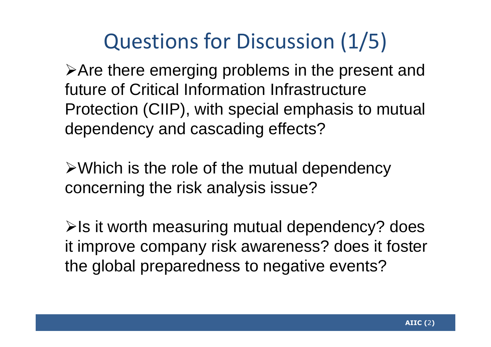# Questions for Discussion (1/5)

Are there emerging problems in the present and future of Critical Information Infrastructure Protection (CIIP), with special emphasis to mutual dependency and cascading effects?

 $\triangleright$  Which is the role of the mutual dependency concerning the risk analysis issue?

 $\triangleright$  Is it worth measuring mutual dependency? does it improve company risk awareness? does it foster the global preparedness to negative events?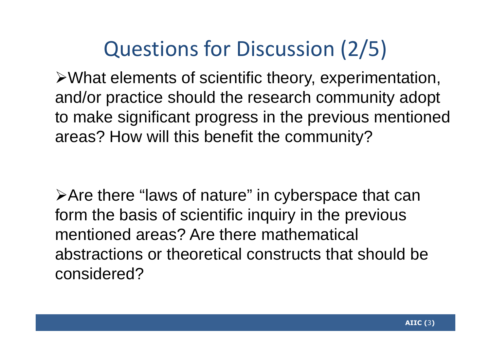# Questions for Discussion (2/5)

What elements of scientific theory, experimentation, and/or practice should the research community adoptto make significant progress in the previous mentioned areas? How will this benefit the community?

Are there "laws of nature" in cyberspace that can form the basis of scientific inquiry in the previous mentioned areas? Are there mathematical abstractions or theoretical constructs that should be considered?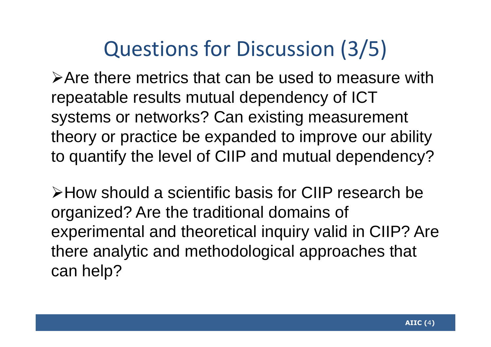### Questions for Discussion (3/5)

Are there metrics that can be used to measure with repeatable results mutual dependency of ICT systems or networks? Can existing measurement theory or practice be expanded to improve our ability to quantify the level of CIIP and mutual dependency?

How should a scientific basis for CIIP research be organized? Are the traditional domains of experimental and theoretical inquiry valid in CIIP? Are there analytic and methodological approaches that can help?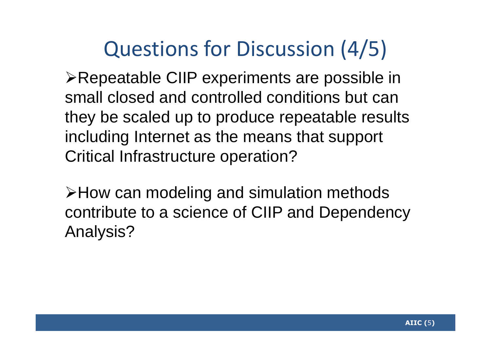# Questions for Discussion (4/5)

Repeatable CIIP experiments are possible in small closed and controlled conditions but can they be scaled up to produce repeatable results including Internet as the means that support Critical Infrastructure operation?

How can modeling and simulation methods contribute to a science of CIIP and Dependency Analysis?